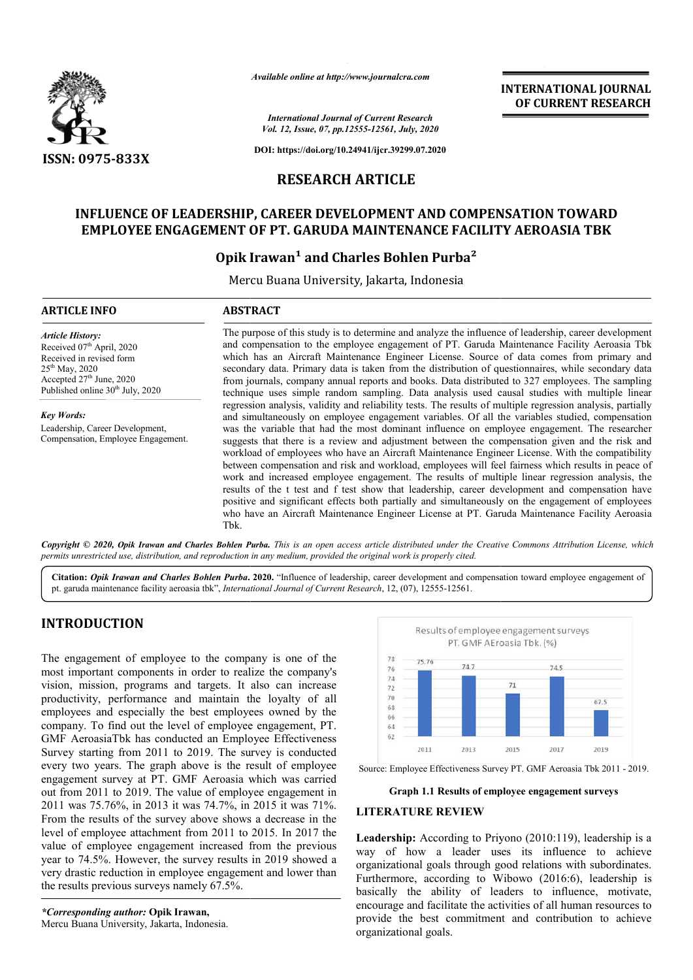

*Available online at http://www.journalcra.com*

**INTERNATIONAL JOURNAL OF CURRENT RESEARCH**

*International Journal of Current Research Vol. 12, Issue, 07, pp.12555-12561, July, 2020*

**DOI: https://doi.org/10.24941/ijcr.39299.07.2020**

# **RESEARCH ARTICLE**

# **INFLUENCE OF LEADERSHIP, CAREER DEVELOPMENT AND COMPENSATION TOWARD**  NFLUENCE OF LEADERSHIP, CAREER DEVELOPMENT AND COMPENSATION TOWARI<br>EMPLOYEE ENGAGEMENT OF PT. GARUDA MAINTENANCE FACILITY AEROASIA TBK

# **Opik Irawan Irawan¹ and Charles Bohlen Purba²**

Mercu Buana University, Jakarta, Indonesia

# **ARTICLE INFO ABSTRACT** The purpose of this study is to determine and analyze the influence of leadership, career development and compensation to the employee engagement of PT. Garuda Maintenance Facility Aeroasia Tbk which has an Aircraft Maintenance Engineer License. Source of data comes from primary and secondary data. Primary data is taken from the distribution of questionnaires, while secondary data from journals, company annual reports and books. Data distributed to 327 employees. The sampling technique uses simple random sampling. Data analysis used causal studies with multiple linear regressi regression analysis, validity and reliability tests. The results of multiple regression analysis, partially and simultaneously on employee engagement variables. Of all the variables studied, compensation was the variable that had the most dominant influence on employee engagement. The researcher suggests that there is a review and adjustment between the compensation given and the risk and workload of employees who have an Aircraft Maintenance Engineer License. With the compatibility between compensation and risk and workload, employees will feel fairness which results in peace of *Article History:* Received 07<sup>th</sup> April, 2020 Received in revised form 25th May, 2020 Accepted 27<sup>th</sup> June, 2020 Published online  $30<sup>th</sup>$  July, 2020 *Key Words:* Leadership, Career Development, Compensation, Employee Engagement. and compensation to the employee engagement of PT. Garuda Maintenance Facility Aeroasia Tbk<br>which has an Aircraft Maintenance Engineer License. Source of data comes from primary and<br>secondary data. Primary data is taken fr **INTERNATIONAL JOURNAL CONTRATION CONTRATION CONTRATION CONTRATION CONTRATION CONTRATION CONTRATION TOWARD**<br> **CONTRATION TOWARD**<br> **CONTRATION CONTRATION TOWARD**<br> **PUT CARROASIA TBK**<br> **PUT CARROASIA TBK**<br> **PUT CARROASIA TBK**

work and increased employee engagement. The results of multiple linear regression analysis, the results of the t test and f test show that leadership, career development and compensation ha positive and significant effects both partially and simultaneously on the engagement of employees positive and significant effects both partially and simultaneously on the engagement of employees who have an Aircraft Maintenance Engineer License at PT. Garuda Maintenance Facility Aeroasia Tbk. suggests that there is a review and adjustment between the compensation given and the risk and workload of employees who have an Aircraft Maintenance Engineer License. With the compatibility between compensation and risk a

Copyright © 2020, Opik Irawan and Charles Bohlen Purba. This is an open access article distributed under the Creative Commons Attribution License, which permits unrestricted use, distribution, and reproduction in any medium, provided the original work is properly cited.

Citation: Opik Irawan and Charles Bohlen Purba. 2020. "Influence of leadership, career development and compensation toward employee engagement of pt. garuda maintenance facility aeroasia tbk", *International Journal of Current Research*, 12, (07), 12555-12561.

# **INTRODUCTION**

The engagement of employee to the company is one of the most important components in order to realize the company's vision, mission, programs and targets. It also can increase productivity, performance and maintain the loyalty of all employees and especially the best employees owned by the company. To find out the level of employee engagement, PT. GMF AeroasiaTbk has conducted an Employee Effectiveness Survey starting from 2011 to 2019. The survey is conducted every two years. The graph above is the result of employee engagement survey at PT. GMF Aeroasia which was carried out from 2011 to 2019. The value of employee engagement in 2011 was 75.76%, in 2013 it was 74.7%, in 2015 it was 71%. From the results of the survey above shows a decrease in the level of employee attachment from 2011 to 2015. In 2017 the value of employee engagement increased from the previous year to 74.5%. However, the survey results in 2019 showed a very drastic reduction in employee engagement and lower than the results previous surveys namely 67.5%.

*\*Corresponding author:* **Opik Irawan,** Mercu Buana University, Jakarta, Indonesia.



Source: Employee Effectiveness Survey PT. GMF Aeroasia Tbk 2011 - 2019.

#### **Graph 1.1 Results of employee engagement surveys**

#### **LITERATURE REVIEW**

Leadership: According to Priyono (2010:119), leadership is a way of how a leader uses its influence to achieve organizational goals through good relations with subordinates. Leadership: According to Priyono (2010:119), leadership is a way of how a leader uses its influence to achieve organizational goals through good relations with subordinates.<br>Furthermore, according to Wibowo (2016:6), leade basically the ability of leaders to influence, motivate, encourage and facilitate the activities of all human resources to provide the best commitment and contribution to achieve organizational goals.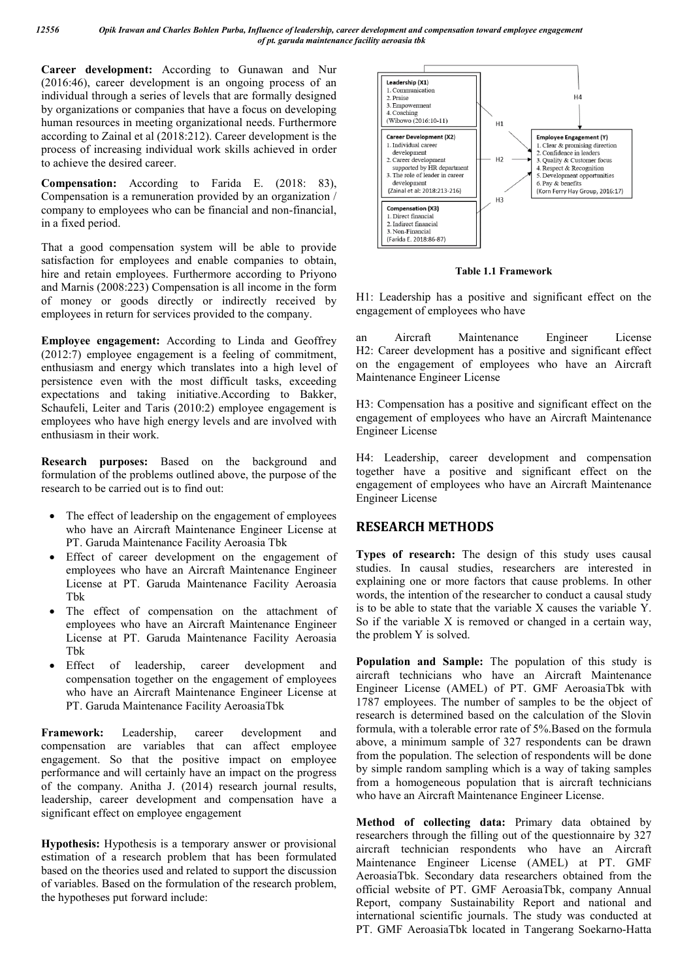**Career development:** According to Gunawan and Nur (2016:46), career development is an ongoing process of an individual through a series of levels that are formally designed by organizations or companies that have a focus on developing human resources in meeting organizational needs. Furthermore according to Zainal et al (2018:212). Career development is the process of increasing individual work skills achieved in order to achieve the desired career.

**Compensation:** According to Farida E. (2018: 83), Compensation is a remuneration provided by an organization / company to employees who can be financial and non-financial, in a fixed period.

That a good compensation system will be able to provide satisfaction for employees and enable companies to obtain, hire and retain employees. Furthermore according to Priyono and Marnis (2008:223) Compensation is all income in the form of money or goods directly or indirectly received by employees in return for services provided to the company.

**Employee engagement:** According to Linda and Geoffrey (2012:7) employee engagement is a feeling of commitment, enthusiasm and energy which translates into a high level of persistence even with the most difficult tasks, exceeding expectations and taking initiative.According to Bakker, Schaufeli, Leiter and Taris (2010:2) employee engagement is employees who have high energy levels and are involved with enthusiasm in their work.

**Research purposes:** Based on the background and formulation of the problems outlined above, the purpose of the research to be carried out is to find out:

- The effect of leadership on the engagement of employees who have an Aircraft Maintenance Engineer License at PT. Garuda Maintenance Facility Aeroasia Tbk
- Effect of career development on the engagement of employees who have an Aircraft Maintenance Engineer License at PT. Garuda Maintenance Facility Aeroasia Tbk
- The effect of compensation on the attachment of employees who have an Aircraft Maintenance Engineer License at PT. Garuda Maintenance Facility Aeroasia Tbk
- Effect of leadership, career development and compensation together on the engagement of employees who have an Aircraft Maintenance Engineer License at PT. Garuda Maintenance Facility AeroasiaTbk

**Framework:** Leadership, career development and compensation are variables that can affect employee engagement. So that the positive impact on employee performance and will certainly have an impact on the progress of the company. Anitha J. (2014) research journal results, leadership, career development and compensation have a significant effect on employee engagement

**Hypothesis:** Hypothesis is a temporary answer or provisional estimation of a research problem that has been formulated based on the theories used and related to support the discussion of variables. Based on the formulation of the research problem, the hypotheses put forward include:



**Table 1.1 Framework**

H1: Leadership has a positive and significant effect on the engagement of employees who have

an Aircraft Maintenance Engineer License H2: Career development has a positive and significant effect on the engagement of employees who have an Aircraft Maintenance Engineer License

H3: Compensation has a positive and significant effect on the engagement of employees who have an Aircraft Maintenance Engineer License

H4: Leadership, career development and compensation together have a positive and significant effect on the engagement of employees who have an Aircraft Maintenance Engineer License

# **RESEARCH METHODS**

**Types of research:** The design of this study uses causal studies. In causal studies, researchers are interested in explaining one or more factors that cause problems. In other words, the intention of the researcher to conduct a causal study is to be able to state that the variable X causes the variable Y. So if the variable X is removed or changed in a certain way, the problem Y is solved.

**Population and Sample:** The population of this study is aircraft technicians who have an Aircraft Maintenance Engineer License (AMEL) of PT. GMF AeroasiaTbk with 1787 employees. The number of samples to be the object of research is determined based on the calculation of the Slovin formula, with a tolerable error rate of 5%.Based on the formula above, a minimum sample of 327 respondents can be drawn from the population. The selection of respondents will be done by simple random sampling which is a way of taking samples from a homogeneous population that is aircraft technicians who have an Aircraft Maintenance Engineer License.

**Method of collecting data:** Primary data obtained by researchers through the filling out of the questionnaire by 327 aircraft technician respondents who have an Aircraft Maintenance Engineer License (AMEL) at PT. GMF AeroasiaTbk. Secondary data researchers obtained from the official website of PT. GMF AeroasiaTbk, company Annual Report, company Sustainability Report and national and international scientific journals. The study was conducted at PT. GMF AeroasiaTbk located in Tangerang Soekarno-Hatta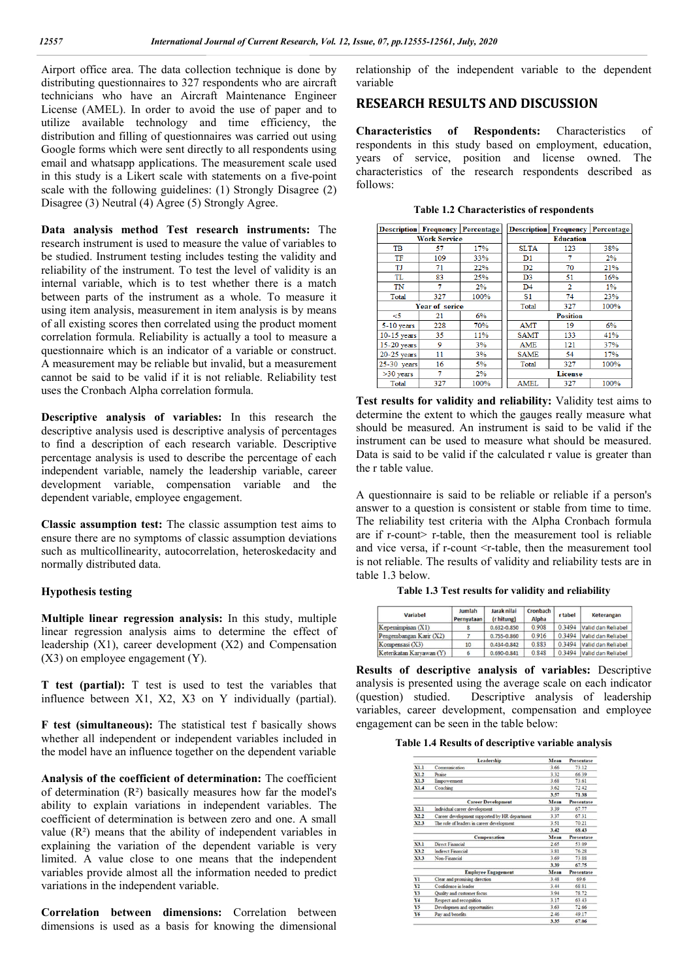Airport office area. The data collection technique is done by distributing questionnaires to 327 respondents who are aircraft technicians who have an Aircraft Maintenance Engineer License (AMEL). In order to avoid the use of paper and to utilize available technology and time efficiency, the distribution and filling of questionnaires was carried out using Google forms which were sent directly to all respondents using email and whatsapp applications. The measurement scale used in this study is a Likert scale with statements on a five-point scale with the following guidelines: (1) Strongly Disagree (2) Disagree (3) Neutral (4) Agree (5) Strongly Agree.

**Data analysis method Test research instruments:** The research instrument is used to measure the value of variables to be studied. Instrument testing includes testing the validity and reliability of the instrument. To test the level of validity is an internal variable, which is to test whether there is a match between parts of the instrument as a whole. To measure it using item analysis, measurement in item analysis is by means of all existing scores then correlated using the product moment correlation formula. Reliability is actually a tool to measure a questionnaire which is an indicator of a variable or construct. A measurement may be reliable but invalid, but a measurement cannot be said to be valid if it is not reliable. Reliability test uses the Cronbach Alpha correlation formula.

**Descriptive analysis of variables:** In this research the descriptive analysis used is descriptive analysis of percentages to find a description of each research variable. Descriptive percentage analysis is used to describe the percentage of each independent variable, namely the leadership variable, career development variable, compensation variable and the dependent variable, employee engagement.

**Classic assumption test:** The classic assumption test aims to ensure there are no symptoms of classic assumption deviations such as multicollinearity, autocorrelation, heteroskedacity and normally distributed data.

### **Hypothesis testing**

**Multiple linear regression analysis:** In this study, multiple linear regression analysis aims to determine the effect of leadership (X1), career development (X2) and Compensation (X3) on employee engagement (Y).

**T test (partial):** T test is used to test the variables that influence between X1, X2, X3 on Y individually (partial).

**F test (simultaneous):** The statistical test f basically shows whether all independent or independent variables included in the model have an influence together on the dependent variable

**Analysis of the coefficient of determination:** The coefficient of determination (R²) basically measures how far the model's ability to explain variations in independent variables. The coefficient of determination is between zero and one. A small value (R²) means that the ability of independent variables in explaining the variation of the dependent variable is very limited. A value close to one means that the independent variables provide almost all the information needed to predict variations in the independent variable.

**Correlation between dimensions:** Correlation between dimensions is used as a basis for knowing the dimensional relationship of the independent variable to the dependent variable

# **RESEARCH RESULTS AND DISCUSSION**

**Characteristics of Respondents:** Characteristics of respondents in this study based on employment, education, years of service, position and license owned. The characteristics of the research respondents described as follows:

**Table 1.2 Characteristics of respondents**

|               |                     | <b>Description Frequency Percentage</b> |                |                  | <b>Description Frequency Percentage</b> |
|---------------|---------------------|-----------------------------------------|----------------|------------------|-----------------------------------------|
|               | <b>Work Service</b> |                                         |                | <b>Education</b> |                                         |
| <b>TB</b>     | 57                  | 17%                                     | <b>SLTA</b>    | 123              | 38%                                     |
| TF            | 109                 | 33%                                     | D1             | 7                | 2%                                      |
| TJ            | 71                  | 22%                                     | D2             | 70               | 21%                                     |
| <b>TL</b>     | 83                  | 25%                                     | D <sub>3</sub> | 51               | 16%                                     |
| TN            | 7                   | 2%                                      | D <sub>4</sub> | 2                | $1\%$                                   |
| Total         | 327                 | 100%                                    | S <sub>1</sub> | 74               | 23%                                     |
|               | Year of serice      |                                         | 327<br>Total   |                  | 100%                                    |
| $\leq$ 5      | 21                  | 6%                                      |                | <b>Position</b>  |                                         |
| $5-10$ years  | 228                 | 70%                                     | <b>AMT</b>     | 19               | 6%                                      |
| $10-15$ years | 35                  | 11%                                     | <b>SAMT</b>    | 133              | 41%                                     |
| 15-20 years   | 9                   | 3%                                      | <b>AME</b>     | 121              | 37%                                     |
| 20-25 years   | 11                  | 3%                                      | <b>SAME</b>    | 54               | 17%                                     |
| 25-30 years   | 16                  | 5%                                      | Total          | 327              | 100%                                    |
| $>30$ years   | 7                   | 2%                                      |                | <b>License</b>   |                                         |
| Total         | 327                 | 100%                                    | <b>AMEL</b>    | 327              | 100%                                    |

**Test results for validity and reliability:** Validity test aims to determine the extent to which the gauges really measure what should be measured. An instrument is said to be valid if the instrument can be used to measure what should be measured. Data is said to be valid if the calculated r value is greater than the r table value.

A questionnaire is said to be reliable or reliable if a person's answer to a question is consistent or stable from time to time. The reliability test criteria with the Alpha Cronbach formula are if r-count> r-table, then the measurement tool is reliable and vice versa, if r-count  $\le$ r-table, then the measurement tool is not reliable. The results of validity and reliability tests are in table 1.3 below.

**Table 1.3 Test results for validity and reliability**

| <b>Variabel</b>          | Jumlah<br>Pernyataan | Jarak nilai<br>(r hitung) | Cronbach<br><b>Alpha</b> | <b>r</b> tabel | <b>Keterangan</b>  |
|--------------------------|----------------------|---------------------------|--------------------------|----------------|--------------------|
| $K$ epemimpinan $(X1)$   |                      | $0.632 - 0.850$           | 0.908                    | 0.3494         | Valid dan Reliabel |
| Pengembangan Karir (X2)  |                      | $0.755 - 0.860$           | 0.916                    | 0.3494         | Valid dan Reliabel |
| Kompensasi (X3)          | 10                   | $0.434 - 0.842$           | 0.883                    | 0.3494         | Valid dan Reliabel |
| Keterikatan Karvawan (Y) |                      | $0.690 - 0.841$           | 0.848                    | 0.3494         | Valid dan Reliabel |

**Results of descriptive analysis of variables:** Descriptive analysis is presented using the average scale on each indicator (question) studied. Descriptive analysis of leadership variables, career development, compensation and employee engagement can be seen in the table below:

#### **Table 1.4 Results of descriptive variable analysis**

|     | Leadership                                    | Mean                                                 | <b>Presentase</b> |
|-----|-----------------------------------------------|------------------------------------------------------|-------------------|
| 11  | Communication                                 | 3.66                                                 | 73.12             |
| 1.2 | Praise                                        | 3.32                                                 | 66.39             |
| 1.3 | Empowerment                                   | 3.68                                                 | 73.61             |
| 1.4 | Coaching                                      | 3.62                                                 | 72.42             |
|     |                                               | 3.57                                                 | 71.38             |
|     | <b>Career Development</b>                     | Mean                                                 | <b>Presentase</b> |
| 2.1 | Individual career development                 | 3.39                                                 | 67.77             |
| 2.2 | Career development supported by HR department | 3.37                                                 | 67.31             |
| 23  | The role of leaders in career development     | 3.51                                                 | 70.21             |
|     |                                               | 3.42                                                 | 68.43             |
|     | Compensation                                  | Mean                                                 | Presentase        |
| 3.1 | Direct Financial                              | 2.65                                                 | 53.09             |
| 3.2 | <b>Indirect Financial</b>                     | 3.81                                                 | 76.28             |
| 3.3 | Non-Financial                                 | 3.69                                                 | 73.88             |
|     |                                               | 3.39                                                 | 67.75             |
|     | <b>Employee Engagement</b>                    | Mean<br>3.48<br>3.44<br>3.94<br>3.17<br>3.63<br>2.46 | <b>Presentase</b> |
| ı   | Clear and promising direction                 |                                                      | 69.6              |
| 2   | Confidence in leader                          |                                                      | 68.81             |
| ٦   | Quality and customer focus                    |                                                      | 78.72             |
| 4   | Respect and recognition                       |                                                      | 63.43             |
| 5   | Developmen and opportunities                  |                                                      | 72.66             |
| 6   | Pay and benefits                              |                                                      | 49.17             |
|     |                                               | 3.35                                                 | 67.06             |

**Service** (Service)

**Marine**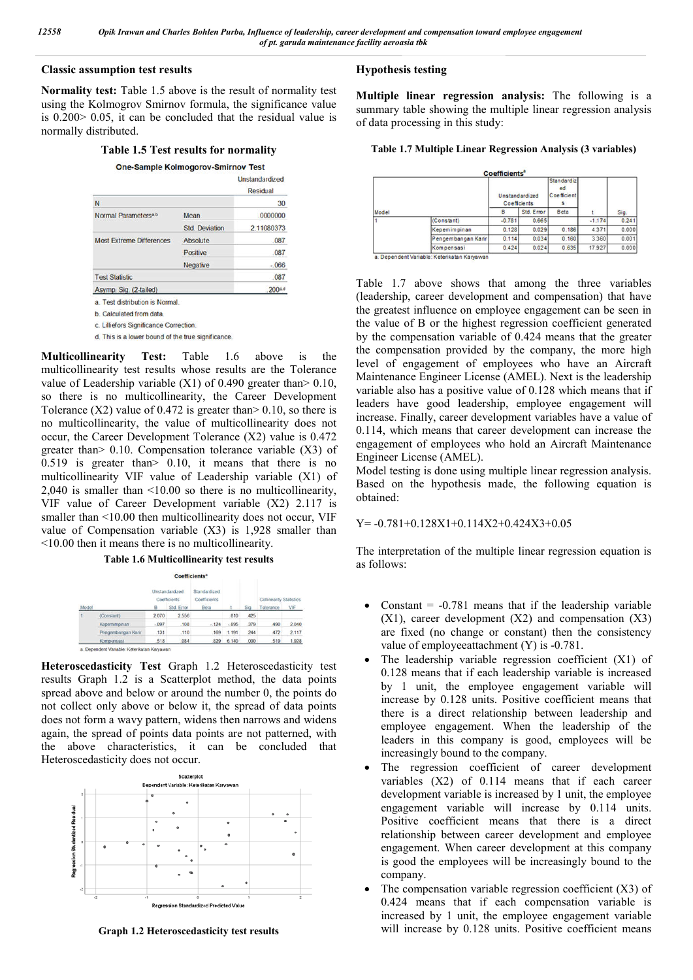#### **Classic assumption test results**

**Normality test:** Table 1.5 above is the result of normality test using the Kolmogrov Smirnov formula, the significance value is 0.200> 0.05, it can be concluded that the residual value is normally distributed.

#### **Table 1.5 Test results for normality**

One-Sample Kolmogorov-Smirnov Test

|                                                    |                       | Unstandardized<br>Residual |
|----------------------------------------------------|-----------------------|----------------------------|
| N                                                  |                       | 30                         |
| Normal Parameters <sup>a,b</sup>                   | Mean                  | .0000000                   |
|                                                    | <b>Std. Deviation</b> | 2.11080373                 |
| <b>Most Extreme Differences</b>                    | Absolute              | .087                       |
|                                                    | Positive              | .087                       |
|                                                    | Negative              | $-066$                     |
| <b>Test Statistic</b>                              |                       | .087                       |
| Asymp. Sig. (2-tailed)                             |                       | 200cd                      |
| a Test distribution is Normal                      |                       |                            |
| b. Calculated from data                            |                       |                            |
| c. Lilliefors Significance Correction.             |                       |                            |
| d. This is a lower bound of the true significance. |                       |                            |

**Multicollinearity Test:** Table 1.6 above is the multicollinearity test results whose results are the Tolerance value of Leadership variable  $(X1)$  of 0.490 greater than  $> 0.10$ , so there is no multicollinearity, the Career Development Tolerance  $(X2)$  value of 0.472 is greater than  $> 0.10$ , so there is no multicollinearity, the value of multicollinearity does not occur, the Career Development Tolerance (X2) value is 0.472 greater than> 0.10. Compensation tolerance variable (X3) of 0.519 is greater than> 0.10, it means that there is no multicollinearity VIF value of Leadership variable (X1) of 2,040 is smaller than <10.00 so there is no multicollinearity, VIF value of Career Development variable (X2) 2.117 is smaller than <10.00 then multicollinearity does not occur, VIF value of Compensation variable (X3) is 1,928 smaller than <10.00 then it means there is no multicollinearity.

#### **Table 1.6 Multicollinearity test results**

Coefficients Unstandardized Standardiz Coefficients Coefficients Std. Error Beta Sig Tolerance VIF (Constant) 2.070 2.556 810 425  $-124 - 896 = 379$ 490 2.040  $-097$  $.108$ Kepemimpina 131 110 169 1.191 244 472 2.117 Pengembangan Karir 1.928 518 084 829 6.140 .000 519 Kompensasi a Denendert Variable Keterikatan Karyawa

**Heteroscedasticity Test** Graph 1.2 Heteroscedasticity test results Graph 1.2 is a Scatterplot method, the data points spread above and below or around the number 0, the points do not collect only above or below it, the spread of data points does not form a wavy pattern, widens then narrows and widens again, the spread of points data points are not patterned, with the above characteristics, it can be concluded that Heteroscedasticity does not occur.



**Graph 1.2 Heteroscedasticity test results**

#### **Hypothesis testing**

**Multiple linear regression analysis:** The following is a summary table showing the multiple linear regression analysis of data processing in this study:

#### **Table 1.7 Multiple Linear Regression Analysis (3 variables)**

| Model |                    | <b>Coefficients</b> <sup>2</sup><br>Unstandardized<br>Coefficients |            | <b>Standardiz</b><br>ed<br>Coefficient<br>s |          | Sig.  |
|-------|--------------------|--------------------------------------------------------------------|------------|---------------------------------------------|----------|-------|
|       |                    | B                                                                  | Std. Error | Beta                                        |          |       |
|       | (Constant)         | $-0.781$                                                           | 0.665      |                                             | $-1.174$ | 0.241 |
|       | Kepemimpinan       | 0.128                                                              | 0.029      | 0.186                                       | 4.371    | 0.000 |
|       | Pengembangan Karir | 0.114                                                              | 0.034      | 0.160                                       | 3.360    | 0.001 |
|       | Kompensasi         | 0.424                                                              | 0.024      | 0.635                                       | 17.927   | 0.000 |

Table 1.7 above shows that among the three variables (leadership, career development and compensation) that have the greatest influence on employee engagement can be seen in the value of B or the highest regression coefficient generated by the compensation variable of 0.424 means that the greater the compensation provided by the company, the more high level of engagement of employees who have an Aircraft Maintenance Engineer License (AMEL). Next is the leadership variable also has a positive value of 0.128 which means that if leaders have good leadership, employee engagement will increase. Finally, career development variables have a value of 0.114, which means that career development can increase the engagement of employees who hold an Aircraft Maintenance Engineer License (AMEL).

Model testing is done using multiple linear regression analysis. Based on the hypothesis made, the following equation is obtained:

#### $Y=-0.781+0.128X1+0.114X2+0.424X3+0.05$

The interpretation of the multiple linear regression equation is as follows:

- Constant  $= -0.781$  means that if the leadership variable  $(X1)$ , career development  $(X2)$  and compensation  $(X3)$ are fixed (no change or constant) then the consistency value of employeeattachment (Y) is -0.781.
- The leadership variable regression coefficient (X1) of 0.128 means that if each leadership variable is increased by 1 unit, the employee engagement variable will increase by 0.128 units. Positive coefficient means that there is a direct relationship between leadership and employee engagement. When the leadership of the leaders in this company is good, employees will be increasingly bound to the company.
- The regression coefficient of career development variables (X2) of 0.114 means that if each career development variable is increased by 1 unit, the employee engagement variable will increase by 0.114 units. Positive coefficient means that there is a direct relationship between career development and employee engagement. When career development at this company is good the employees will be increasingly bound to the company.
- The compensation variable regression coefficient (X3) of 0.424 means that if each compensation variable is increased by 1 unit, the employee engagement variable will increase by 0.128 units. Positive coefficient means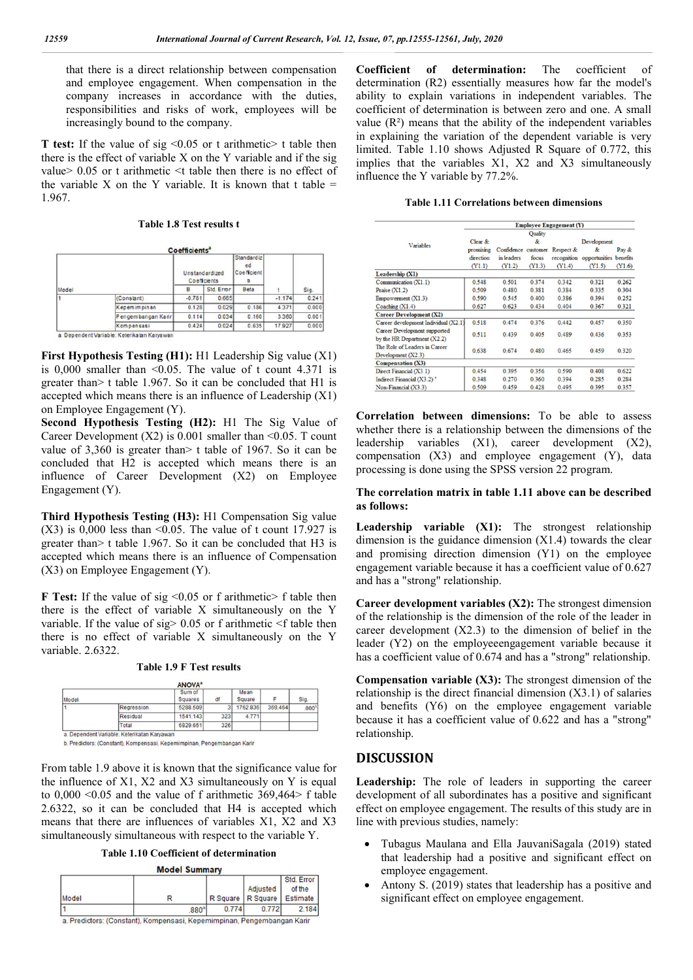that there is a direct relationship between compensation and employee engagement. When compensation in the company increases in accordance with the duties, responsibilities and risks of work, employees will be increasingly bound to the company.

**T** test: If the value of sig <0.05 or t arithmetic> t table then there is the effect of variable X on the Y variable and if the sig value> 0.05 or t arithmetic <t table then there is no effect of the variable X on the Y variable. It is known that t table  $=$ 1.967.

**Table 1.8 Test results t**

| Model |                    | Unstandardized<br>Coefficients |            | Standardiz<br>ed<br>Coefficient |          |       |
|-------|--------------------|--------------------------------|------------|---------------------------------|----------|-------|
|       |                    | в                              | Std. Error | Beta                            |          | Sig.  |
|       | (Constant)         | $-0.781$                       | 0.665      |                                 | $-1.174$ | 0.241 |
|       | Kepemimpinan       | 0.128                          | 0.029      | 0.186                           | 4371     | 0.000 |
|       | Pengembangan Karir | 0.114                          | 0.034      | 0.160                           | 3 3 6 0  | 0.001 |
|       | Kompensasi         | 0.424                          | 0.024      | 0.635                           | 17.927   | 0.000 |

**First Hypothesis Testing (H1):** H1 Leadership Sig value (X1) is 0,000 smaller than  $\leq 0.05$ . The value of t count 4.371 is greater than> t table 1.967. So it can be concluded that H1 is accepted which means there is an influence of Leadership (X1) on Employee Engagement (Y).

**Second Hypothesis Testing (H2):** H1 The Sig Value of Career Development  $(X2)$  is 0.001 smaller than <0.05. T count value of 3,360 is greater than> t table of 1967. So it can be concluded that H2 is accepted which means there is an influence of Career Development (X2) on Employee Engagement (Y).

**Third Hypothesis Testing (H3):** H1 Compensation Sig value  $(X3)$  is 0,000 less than <0.05. The value of t count 17.927 is greater than> t table 1.967. So it can be concluded that H3 is accepted which means there is an influence of Compensation (X3) on Employee Engagement (Y).

**F Test:** If the value of sig <0.05 or f arithmetic> f table then there is the effect of variable X simultaneously on the Y variable. If the value of  $sig$  0.05 or f arithmetic  $\leq$  f table then there is no effect of variable X simultaneously on the Y variable. 2.6322.

|  |  |  |  |  | <b>Table 1.9 F Test results</b> |
|--|--|--|--|--|---------------------------------|
|--|--|--|--|--|---------------------------------|

|       |              | <b>ANOVA</b> <sup>2</sup> |     |                |         |                   |
|-------|--------------|---------------------------|-----|----------------|---------|-------------------|
| Model |              | Sum of<br><b>Squares</b>  | df  | Mean<br>Square |         | Sig.              |
|       | Regression   | 5288.509                  |     | 1762.836       | 369,464 | .000 <sup>b</sup> |
|       | Residual     | 1541.143                  | 323 | 4.771          |         |                   |
|       | <b>Total</b> | 6829.651                  | 326 |                |         |                   |

b. Predictors: (Constant), Kompensasi, Kepemimpinan, Pengembangan Karir

From table 1.9 above it is known that the significance value for the influence of X1, X2 and X3 simultaneously on Y is equal to 0,000 <0.05 and the value of f arithmetic 369,464> f table 2.6322, so it can be concluded that H4 is accepted which means that there are influences of variables X1, X2 and X3 simultaneously simultaneous with respect to the variable Y.

**Table 1.10 Coefficient of determination Model Summary** 

|       |                                                                         |                     |          | Std. Error |
|-------|-------------------------------------------------------------------------|---------------------|----------|------------|
|       |                                                                         |                     | Adjusted | of the     |
| Model |                                                                         | R Square   R Square |          | Estimate   |
|       | 880 <sup>3</sup>                                                        | 0.774               | 0.772    | 2.184      |
|       | a. Predictors: (Constant), Kompensasi, Kepemimpinan, Pengembangan Karir |                     |          |            |

**Coefficient of determination:** The coefficient of determination (R2) essentially measures how far the model's ability to explain variations in independent variables. The coefficient of determination is between zero and one. A small value  $(R<sup>2</sup>)$  means that the ability of the independent variables in explaining the variation of the dependent variable is very limited. Table 1.10 shows Adjusted R Square of 0.772, this implies that the variables  $X_1$ ,  $X_2$  and  $X_3$  simultaneously influence the Y variable by 77.2%.

|  | <b>Table 1.11 Correlations between dimensions</b> |  |  |
|--|---------------------------------------------------|--|--|
|--|---------------------------------------------------|--|--|

|                                                               | <b>Employee Engagement (Y)</b> |                     |         |             |               |          |  |
|---------------------------------------------------------------|--------------------------------|---------------------|---------|-------------|---------------|----------|--|
|                                                               |                                |                     | Quality |             |               |          |  |
| Variables                                                     | Clear &                        |                     | &       |             | Development   |          |  |
|                                                               | promising<br>direction         | Confidence customer |         | Respect &   | &             | Pay &    |  |
|                                                               |                                | in leaders          | focus   | recognition | opportunities | benefits |  |
|                                                               | (Y1.1)                         | (Y1.2)              | (Y1.3)  | (Y1.4)      | (Y1.5)        | (Y1.6)   |  |
| Leadership (X1)                                               |                                |                     |         |             |               |          |  |
| Communication (X1.1)                                          | 0.548                          | 0.501               | 0.374   | 0.342       | 0.321         | 0.262    |  |
| Praise $(X1.2)$                                               | 0.509                          | 0.480               | 0.381   | 0.384       | 0.335         | 0.304    |  |
| Empowerment $(X1.3)$                                          | 0.590                          | 0.545               | 0.400   | 0.386       | 0.394         | 0.252    |  |
| Coaching $(X1.4)$                                             | 0.627                          | 0.623               | 0.434   | 0.404       | 0.367         | 0.321    |  |
| <b>Career Development (X2)</b>                                |                                |                     |         |             |               |          |  |
| Career development Individual (X2.1)                          | 0.518                          | 0.474               | 0.376   | 0.442       | 0.457         | 0.350    |  |
| Career Development supported<br>by the HR Department $(X2.2)$ | 0.511                          | 0.439               | 0.405   | 0.489       | 0.436         | 0.353    |  |
| The Role of Leaders in Career<br>Development $(X2.3)$         | 0.638                          | 0.674               | 0.480   | 0.465       | 0.459         | 0.320    |  |
| <b>Compensation (X3)</b>                                      |                                |                     |         |             |               |          |  |
| Direct Financial (X3.1)                                       | 0.454                          | 0.395               | 0.356   | 0.590       | 0.408         | 0.622    |  |
| Indirect Financial (X3.2)*                                    | 0.348                          | 0.270               | 0.360   | 0.394       | 0.285         | 0.284    |  |
| Non-Financial (X3.3)                                          | 0.509                          | 0.459               | 0.428   | 0.495       | 0.395         | 0.357    |  |

**Correlation between dimensions:** To be able to assess whether there is a relationship between the dimensions of the leadership variables (X1), career development (X2), compensation (X3) and employee engagement (Y), data processing is done using the SPSS version 22 program.

#### **The correlation matrix in table 1.11 above can be described as follows:**

Leadership variable (X1): The strongest relationship dimension is the guidance dimension  $(X1.4)$  towards the clear and promising direction dimension (Y1) on the employee engagement variable because it has a coefficient value of 0.627 and has a "strong" relationship.

**Career development variables (X2):** The strongest dimension of the relationship is the dimension of the role of the leader in career development (X2.3) to the dimension of belief in the leader (Y2) on the employeeengagement variable because it has a coefficient value of 0.674 and has a "strong" relationship.

**Compensation variable (X3):** The strongest dimension of the relationship is the direct financial dimension (X3.1) of salaries and benefits (Y6) on the employee engagement variable because it has a coefficient value of 0.622 and has a "strong" relationship.

# **DISCUSSION**

**Leadership:** The role of leaders in supporting the career development of all subordinates has a positive and significant effect on employee engagement. The results of this study are in line with previous studies, namely:

- Tubagus Maulana and Ella JauvaniSagala (2019) stated that leadership had a positive and significant effect on employee engagement.
- Antony S. (2019) states that leadership has a positive and significant effect on employee engagement.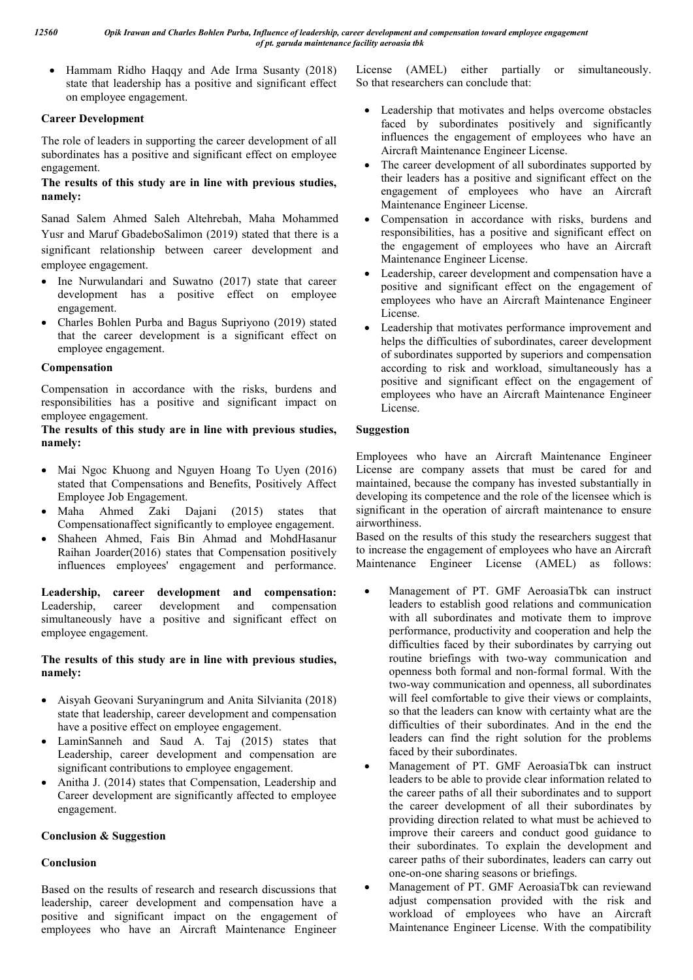Hammam Ridho Haqqy and Ade Irma Susanty (2018) state that leadership has a positive and significant effect on employee engagement.

## **Career Development**

The role of leaders in supporting the career development of all subordinates has a positive and significant effect on employee engagement.

## **The results of this study are in line with previous studies, namely:**

Sanad Salem Ahmed Saleh Altehrebah, Maha Mohammed Yusr and Maruf GbadeboSalimon (2019) stated that there is a significant relationship between career development and employee engagement.

- Ine Nurwulandari and Suwatno (2017) state that career development has a positive effect on employee engagement.
- Charles Bohlen Purba and Bagus Supriyono (2019) stated that the career development is a significant effect on employee engagement.

## **Compensation**

Compensation in accordance with the risks, burdens and responsibilities has a positive and significant impact on employee engagement.

## **The results of this study are in line with previous studies, namely:**

- Mai Ngoc Khuong and Nguyen Hoang To Uyen (2016) stated that Compensations and Benefits, Positively Affect Employee Job Engagement.
- Maha Ahmed Zaki Dajani (2015) states that Compensationaffect significantly to employee engagement.
- Shaheen Ahmed, Fais Bin Ahmad and MohdHasanur Raihan Joarder(2016) states that Compensation positively influences employees' engagement and performance.

**Leadership, career development and compensation:**  Leadership, career development and compensation simultaneously have a positive and significant effect on employee engagement.

## **The results of this study are in line with previous studies, namely:**

- Aisyah Geovani Suryaningrum and Anita Silvianita (2018) state that leadership, career development and compensation have a positive effect on employee engagement.
- LaminSanneh and Saud A. Taj (2015) states that Leadership, career development and compensation are significant contributions to employee engagement.
- Anitha J. (2014) states that Compensation, Leadership and Career development are significantly affected to employee engagement.

# **Conclusion & Suggestion**

# **Conclusion**

Based on the results of research and research discussions that leadership, career development and compensation have a positive and significant impact on the engagement of employees who have an Aircraft Maintenance Engineer License (AMEL) either partially or simultaneously. So that researchers can conclude that:

- Leadership that motivates and helps overcome obstacles faced by subordinates positively and significantly influences the engagement of employees who have an Aircraft Maintenance Engineer License.
- The career development of all subordinates supported by their leaders has a positive and significant effect on the engagement of employees who have an Aircraft Maintenance Engineer License.
- Compensation in accordance with risks, burdens and responsibilities, has a positive and significant effect on the engagement of employees who have an Aircraft Maintenance Engineer License.
- Leadership, career development and compensation have a positive and significant effect on the engagement of employees who have an Aircraft Maintenance Engineer License.
- Leadership that motivates performance improvement and helps the difficulties of subordinates, career development of subordinates supported by superiors and compensation according to risk and workload, simultaneously has a positive and significant effect on the engagement of employees who have an Aircraft Maintenance Engineer License.

# **Suggestion**

Employees who have an Aircraft Maintenance Engineer License are company assets that must be cared for and maintained, because the company has invested substantially in developing its competence and the role of the licensee which is significant in the operation of aircraft maintenance to ensure airworthiness.

Based on the results of this study the researchers suggest that to increase the engagement of employees who have an Aircraft Maintenance Engineer License (AMEL) as follows:

- Management of PT. GMF AeroasiaTbk can instruct leaders to establish good relations and communication with all subordinates and motivate them to improve performance, productivity and cooperation and help the difficulties faced by their subordinates by carrying out routine briefings with two-way communication and openness both formal and non-formal formal. With the two-way communication and openness, all subordinates will feel comfortable to give their views or complaints, so that the leaders can know with certainty what are the difficulties of their subordinates. And in the end the leaders can find the right solution for the problems faced by their subordinates.
- Management of PT. GMF AeroasiaTbk can instruct leaders to be able to provide clear information related to the career paths of all their subordinates and to support the career development of all their subordinates by providing direction related to what must be achieved to improve their careers and conduct good guidance to their subordinates. To explain the development and career paths of their subordinates, leaders can carry out one-on-one sharing seasons or briefings.
- Management of PT. GMF AeroasiaTbk can reviewand adjust compensation provided with the risk and workload of employees who have an Aircraft Maintenance Engineer License. With the compatibility